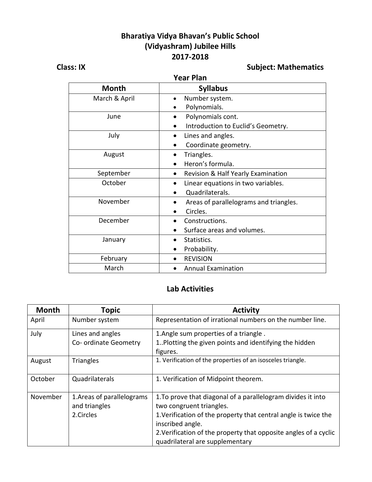### **Bharatiya Vidya Bhavan's Public School (Vidyashram) Jubilee Hills 2017-2018**

#### **Year Plan**

# **Class: IX Class: IX Class: IX Class: IX Class: IX Subject: Mathematics**

| 1691 17911    |                                        |  |
|---------------|----------------------------------------|--|
| <b>Month</b>  | <b>Syllabus</b>                        |  |
| March & April | Number system.<br>$\bullet$            |  |
|               | Polynomials.                           |  |
| June          | Polynomials cont.                      |  |
|               | Introduction to Euclid's Geometry.     |  |
| July          | Lines and angles.                      |  |
|               | Coordinate geometry.                   |  |
| August        | Triangles.                             |  |
|               | Heron's formula.                       |  |
| September     | Revision & Half Yearly Examination     |  |
| October       | Linear equations in two variables.     |  |
|               | Quadrilaterals.                        |  |
| November      | Areas of parallelograms and triangles. |  |
|               | Circles.                               |  |
| December      | Constructions.                         |  |
|               | Surface areas and volumes.             |  |
| January       | Statistics.                            |  |
|               | Probability.                           |  |
| February      | <b>REVISION</b>                        |  |
| March         | <b>Annual Examination</b>              |  |
|               |                                        |  |

#### **Lab Activities**

| <b>Month</b> | <b>Topic</b>                                             | <b>Activity</b>                                                                                                                                                                                                                                                                        |
|--------------|----------------------------------------------------------|----------------------------------------------------------------------------------------------------------------------------------------------------------------------------------------------------------------------------------------------------------------------------------------|
| April        | Number system                                            | Representation of irrational numbers on the number line.                                                                                                                                                                                                                               |
| July         | Lines and angles<br>Co- ordinate Geometry                | 1. Angle sum properties of a triangle.<br>1. Plotting the given points and identifying the hidden<br>figures.                                                                                                                                                                          |
| August       | <b>Triangles</b>                                         | 1. Verification of the properties of an isosceles triangle.                                                                                                                                                                                                                            |
| October      | Quadrilaterals                                           | 1. Verification of Midpoint theorem.                                                                                                                                                                                                                                                   |
| November     | 1. Areas of parallelograms<br>and triangles<br>2.Circles | 1. To prove that diagonal of a parallelogram divides it into<br>two congruent triangles.<br>1. Verification of the property that central angle is twice the<br>inscribed angle.<br>2. Verification of the property that opposite angles of a cyclic<br>quadrilateral are supplementary |